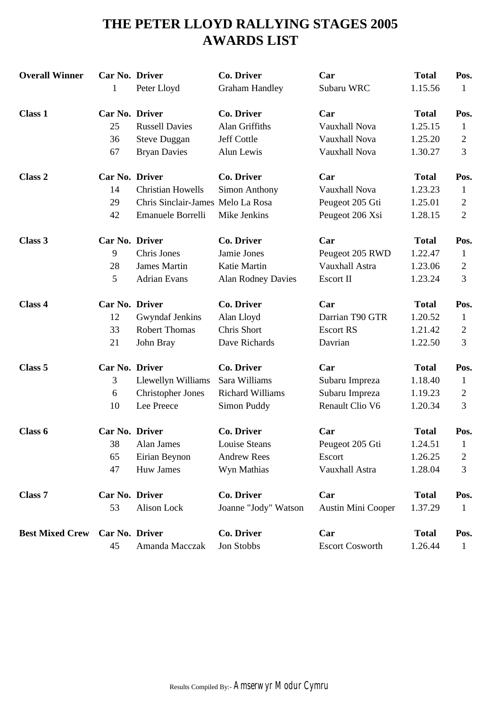# **THE PETER LLOYD RALLYING STAGES 2005 AWARDS LIST**

| <b>Overall Winner</b>  | Car No. Driver |                                   | <b>Co. Driver</b>         | Car                       | <b>Total</b> | Pos.           |
|------------------------|----------------|-----------------------------------|---------------------------|---------------------------|--------------|----------------|
|                        | 1              | Peter Lloyd                       | <b>Graham Handley</b>     | Subaru WRC                | 1.15.56      | $\mathbf{1}$   |
| <b>Class 1</b>         | Car No. Driver |                                   | <b>Co. Driver</b>         | Car                       | <b>Total</b> | Pos.           |
|                        | 25             | <b>Russell Davies</b>             | Alan Griffiths            | Vauxhall Nova             | 1.25.15      | $\mathbf{1}$   |
|                        | 36             | <b>Steve Duggan</b>               | Jeff Cottle               | Vauxhall Nova             | 1.25.20      | 2              |
|                        | 67             | <b>Bryan Davies</b>               | Alun Lewis                | Vauxhall Nova             | 1.30.27      | 3              |
| Class <sub>2</sub>     | Car No. Driver |                                   | <b>Co. Driver</b>         | Car                       | <b>Total</b> | Pos.           |
|                        | 14             | <b>Christian Howells</b>          | Simon Anthony             | Vauxhall Nova             | 1.23.23      | $\mathbf{1}$   |
|                        | 29             | Chris Sinclair-James Melo La Rosa |                           | Peugeot 205 Gti           | 1.25.01      | 2              |
|                        | 42             | Emanuele Borrelli                 | Mike Jenkins              | Peugeot 206 Xsi           | 1.28.15      | $\overline{2}$ |
| Class 3                | Car No. Driver |                                   | <b>Co. Driver</b>         | Car                       | <b>Total</b> | Pos.           |
|                        | 9              | Chris Jones                       | Jamie Jones               | Peugeot 205 RWD           | 1.22.47      | $\mathbf 1$    |
|                        | 28             | <b>James Martin</b>               | Katie Martin              | Vauxhall Astra            | 1.23.06      | $\overline{c}$ |
|                        | 5              | <b>Adrian Evans</b>               | <b>Alan Rodney Davies</b> | Escort II                 | 1.23.24      | 3              |
| Class 4                | Car No. Driver |                                   | <b>Co. Driver</b>         | Car                       | <b>Total</b> | Pos.           |
|                        | 12             | <b>Gwyndaf Jenkins</b>            | Alan Lloyd                | Darrian T90 GTR           | 1.20.52      | $\mathbf{1}$   |
|                        | 33             | <b>Robert Thomas</b>              | Chris Short               | <b>Escort RS</b>          | 1.21.42      | 2              |
|                        | 21             | John Bray                         | Dave Richards             | Davrian                   | 1.22.50      | 3              |
| Class 5                | Car No. Driver |                                   | <b>Co. Driver</b>         | Car                       | <b>Total</b> | Pos.           |
|                        | 3              | Llewellyn Williams                | Sara Williams             | Subaru Impreza            | 1.18.40      | $\mathbf{1}$   |
|                        | 6              | <b>Christopher Jones</b>          | <b>Richard Williams</b>   | Subaru Impreza            | 1.19.23      | 2              |
|                        | 10             | Lee Preece                        | Simon Puddy               | Renault Clio V6           | 1.20.34      | 3              |
| Class 6                | Car No. Driver |                                   | <b>Co. Driver</b>         | Car                       | <b>Total</b> | Pos.           |
|                        | 38             | Alan James                        | Louise Steans             | Peugeot 205 Gti           | 1.24.51      | $\mathbf{1}$   |
|                        | 65             | Eirian Beynon                     | <b>Andrew Rees</b>        | Escort                    | 1.26.25      | 2              |
|                        | 47             | Huw James                         | Wyn Mathias               | Vauxhall Astra            | 1.28.04      | 3              |
| Class 7                | Car No. Driver |                                   | <b>Co. Driver</b>         | Car                       | <b>Total</b> | Pos.           |
|                        | 53             | Alison Lock                       | Joanne "Jody" Watson      | <b>Austin Mini Cooper</b> | 1.37.29      | $\mathbf{1}$   |
| <b>Best Mixed Crew</b> | Car No. Driver |                                   | Co. Driver                | Car                       | <b>Total</b> | Pos.           |
|                        | 45             | Amanda Macczak                    | Jon Stobbs                | <b>Escort Cosworth</b>    | 1.26.44      | $\mathbf{1}$   |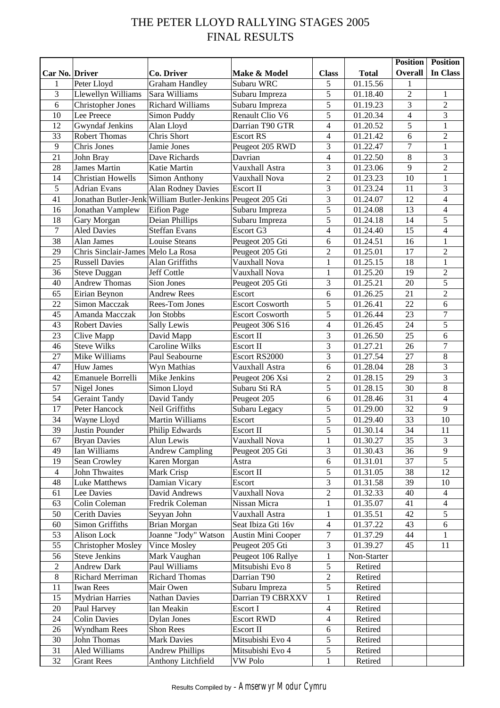# THE PETER LLOYD RALLYING STAGES 2005 FINAL RESULTS

|                  |                                   |                                                             |                        |                |              | <b>Position</b>         | <b>Position</b>         |
|------------------|-----------------------------------|-------------------------------------------------------------|------------------------|----------------|--------------|-------------------------|-------------------------|
| Car No. Driver   |                                   | Co. Driver                                                  | Make & Model           | <b>Class</b>   | <b>Total</b> | <b>Overall</b>          | In Class                |
| 1                | Peter Lloyd                       | <b>Graham Handley</b>                                       | Subaru WRC             | 5              | 01.15.56     | 1                       |                         |
| 3                | Llewellyn Williams                | Sara Williams                                               | Subaru Impreza         | $\overline{5}$ | 01.18.40     | $\overline{2}$          | 1                       |
| 6                | <b>Christopher Jones</b>          | <b>Richard Williams</b>                                     | Subaru Impreza         | 5              | 01.19.23     | $\overline{3}$          | $\overline{2}$          |
| 10               | Lee Preece                        | Simon Puddy                                                 | Renault Clio V6        | 5              | 01.20.34     | $\overline{\mathbf{4}}$ | 3                       |
| 12               | Gwyndaf Jenkins                   | Alan Lloyd                                                  | Darrian T90 GTR        | $\overline{4}$ | 01.20.52     | 5                       | $\mathbf{1}$            |
| 33               | <b>Robert Thomas</b>              | Chris Short                                                 | <b>Escort RS</b>       | $\overline{4}$ | 01.21.42     | 6                       | $\sqrt{2}$              |
| $\overline{9}$   | Chris Jones                       | Jamie Jones                                                 | Peugeot 205 RWD        | 3              | 01.22.47     | 7                       | $\mathbf{1}$            |
| 21               | John Bray                         | Dave Richards                                               | Davrian                | $\overline{4}$ | 01.22.50     | $\,8\,$                 | $\overline{\mathbf{3}}$ |
| 28               | <b>James Martin</b>               | Katie Martin                                                | Vauxhall Astra         | 3              | 01.23.06     | 9                       | $\overline{2}$          |
| 14               | <b>Christian Howells</b>          | Simon Anthony                                               | Vauxhall Nova          | $\overline{2}$ | 01.23.23     | 10                      | $\mathbf{1}$            |
| 5                | <b>Adrian Evans</b>               | <b>Alan Rodney Davies</b>                                   | Escort II              | 3              | 01.23.24     | 11                      | 3                       |
| 41               |                                   | Jonathan Butler-Jenk William Butler-Jenkins Peugeot 205 Gti |                        | 3              | 01.24.07     | 12                      | $\overline{4}$          |
| 16               | Jonathan Vamplew                  | <b>Eifion Page</b>                                          | Subaru Impreza         | 5              | 01.24.08     | 13                      | $\overline{4}$          |
| 18               | Gary Morgan                       | Deian Phillips                                              | Subaru Impreza         | 5              | 01.24.18     | 14                      | 5                       |
| 7                | <b>Aled Davies</b>                | <b>Steffan Evans</b>                                        | Escort G3              | $\overline{4}$ | 01.24.40     | 15                      | $\overline{4}$          |
| 38               | Alan James                        | <b>Louise Steans</b>                                        | Peugeot 205 Gti        | 6              | 01.24.51     | 16                      | $\mathbf{1}$            |
| 29               | Chris Sinclair-James Melo La Rosa |                                                             | Peugeot 205 Gti        | $\overline{2}$ | 01.25.01     | 17                      | $\overline{2}$          |
| 25               | <b>Russell Davies</b>             | Alan Griffiths                                              | Vauxhall Nova          | $\mathbf{1}$   | 01.25.15     | 18                      | $\mathbf{1}$            |
| 36               | <b>Steve Duggan</b>               | Jeff Cottle                                                 | Vauxhall Nova          | $\mathbf{1}$   | 01.25.20     | 19                      | $\sqrt{2}$              |
| 40               | <b>Andrew Thomas</b>              | Sion Jones                                                  | Peugeot 205 Gti        | 3              | 01.25.21     | 20                      | $\overline{5}$          |
| 65               | Eirian Beynon                     | <b>Andrew Rees</b>                                          | Escort                 | 6              | 01.26.25     | 21                      | $\overline{2}$          |
| 22               | Simon Macczak                     | Rees-Tom Jones                                              | <b>Escort Cosworth</b> | 5              | 01.26.41     | 22                      | $6\,$                   |
| 45               | Amanda Macczak                    | Jon Stobbs                                                  | <b>Escort Cosworth</b> | 5              | 01.26.44     | 23                      | $\boldsymbol{7}$        |
| 43               | <b>Robert Davies</b>              | Sally Lewis                                                 | Peugeot 306 S16        | $\overline{4}$ | 01.26.45     | 24                      | 5                       |
| 23               | Clive Mapp                        | David Mapp                                                  | Escort II              | 3              | 01.26.50     | 25                      | 6                       |
| 46               | <b>Steve Wilks</b>                | Caroline Wilks                                              | Escort II              | 3              | 01.27.21     | 26                      | $\overline{7}$          |
| 27               | Mike Williams                     | Paul Seabourne                                              | Escort RS2000          | 3              | 01.27.54     | 27                      | $\overline{8}$          |
| 47               | <b>Huw James</b>                  | Wyn Mathias                                                 | Vauxhall Astra         | 6              | 01.28.04     | 28                      | 3                       |
| 42               | Emanuele Borrelli                 | Mike Jenkins                                                | Peugeot 206 Xsi        | $\overline{2}$ | 01.28.15     | 29                      | $\overline{3}$          |
| 57               | Nigel Jones                       | Simon Lloyd                                                 | Subaru Sti RA          | 5              | 01.28.15     | $\overline{30}$         | $\overline{8}$          |
| 54               | <b>Geraint Tandy</b>              | David Tandy                                                 | Peugeot 205            | 6              | 01.28.46     | 31                      | $\overline{4}$          |
| 17               | Peter Hancock                     | Neil Griffiths                                              | Subaru Legacy          | 5              | 01.29.00     | 32                      | 9                       |
| 34               | Wayne Lloyd                       | Martin Williams                                             | Escort                 | 5              | 01.29.40     | 33                      | 10                      |
| 39               | Justin Pounder                    | Philip Edwards                                              | Escort II              | 5              | 01.30.14     | 34                      | 11                      |
| 67               | <b>Bryan Davies</b>               | Alun Lewis                                                  | Vauxhall Nova          | 1              | 01.30.27     | 35                      | 3                       |
| 49               | Ian Williams                      | <b>Andrew Campling</b>                                      | Peugeot 205 Gti        | 3              | 01.30.43     | 36                      | 9                       |
| 19               | Sean Crowley                      | Karen Morgan                                                | Astra                  | 6              | 01.31.01     | 37                      | 5                       |
| $\overline{4}$   | John Thwaites                     | Mark Crisp                                                  | Escort II              | 5              | 01.31.05     | 38                      | 12                      |
| 48               | Luke Matthews                     | Damian Vicary                                               | Escort                 | 3              | 01.31.58     | 39                      | 10                      |
| 61               | Lee Davies                        | David Andrews                                               | Vauxhall Nova          | $\overline{2}$ | 01.32.33     | 40                      | $\overline{4}$          |
| 63               | Colin Coleman                     | Fredrik Coleman                                             | Nissan Micra           | $\mathbf{1}$   | 01.35.07     | 41                      | $\overline{4}$          |
| 50               | <b>Cerith Davies</b>              | Seyyan John                                                 | Vauxhall Astra         | 1              | 01.35.51     | 42                      | 5                       |
| 60               | Simon Griffiths                   | Brian Morgan                                                | Seat Ibiza Gti 16v     | $\overline{4}$ | 01.37.22     | 43                      | 6                       |
| 53               | Alison Lock                       | Joanne "Jody" Watson                                        | Austin Mini Cooper     | 7              | 01.37.29     | 44                      | 1                       |
| 55               | <b>Christopher Mosley</b>         | Vince Mosley                                                | Peugeot 205 Gti        | $\mathfrak{Z}$ | 01.39.27     | 45                      | 11                      |
| 56               | <b>Steve Jenkins</b>              | Mark Vaughan                                                | Peugeot 106 Rallye     | 1              | Non-Starter  |                         |                         |
| $\boldsymbol{2}$ | <b>Andrew Dark</b>                | Paul Williams                                               | Mitsubishi Evo 8       | 5              | Retired      |                         |                         |
| $8\,$            | Richard Merriman                  | <b>Richard Thomas</b>                                       | Darrian T90            | $\overline{2}$ | Retired      |                         |                         |
| 11               | <b>Iwan Rees</b>                  | Mair Owen                                                   | Subaru Impreza         | 5              | Retired      |                         |                         |
| 15               | <b>Mydrian Harries</b>            | <b>Nathan Davies</b>                                        | Darrian T9 CBRXXV      | $\mathbf{1}$   | Retired      |                         |                         |
| $20\,$           | Paul Harvey                       | Ian Meakin                                                  | Escort I               | $\overline{4}$ | Retired      |                         |                         |
| 24               | <b>Colin Davies</b>               | <b>Dylan Jones</b>                                          | <b>Escort RWD</b>      | $\overline{4}$ | Retired      |                         |                         |
| 26               | <b>Wyndham Rees</b>               | Shon Rees                                                   | Escort II              | 6              | Retired      |                         |                         |
| 30               | John Thomas                       | <b>Mark Davies</b>                                          | Mitsubishi Evo 4       | 5              | Retired      |                         |                         |
| 31               | Aled Williams                     | <b>Andrew Phillips</b>                                      | Mitsubishi Evo 4       | $\mathfrak s$  | Retired      |                         |                         |
| 32               | <b>Grant Rees</b>                 | Anthony Litchfield                                          | VW Polo                | 1              | Retired      |                         |                         |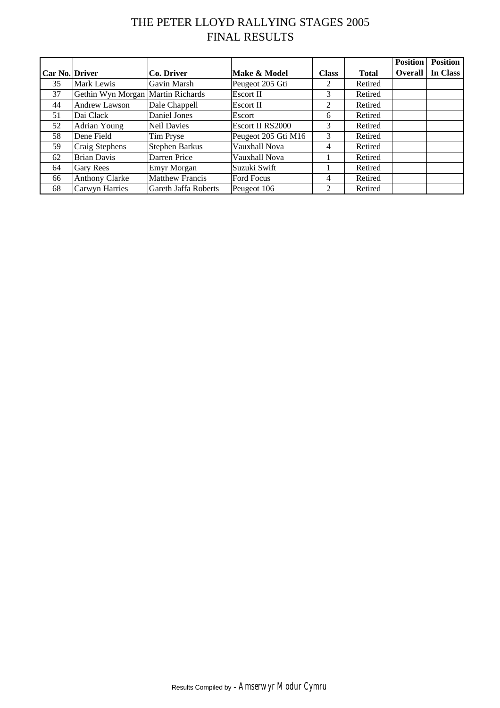# THE PETER LLOYD RALLYING STAGES 2005 FINAL RESULTS

|                       |                                   |                        |                     |              |              | <b>Position</b> | <b>Position</b> |
|-----------------------|-----------------------------------|------------------------|---------------------|--------------|--------------|-----------------|-----------------|
| <b>Car No. Driver</b> |                                   | Co. Driver             | Make & Model        | <b>Class</b> | <b>Total</b> | <b>Overall</b>  | In Class        |
| 35                    | Mark Lewis                        | Gavin Marsh            | Peugeot 205 Gti     | 2            | Retired      |                 |                 |
| 37                    | Gethin Wyn Morgan Martin Richards |                        | Escort II           | 3            | Retired      |                 |                 |
| 44                    | Andrew Lawson                     | Dale Chappell          | Escort II           | 2            | Retired      |                 |                 |
| 51                    | Dai Clack                         | Daniel Jones           | Escort              | 6            | Retired      |                 |                 |
| 52                    | Adrian Young                      | <b>Neil Davies</b>     | Escort II RS2000    | 3            | Retired      |                 |                 |
| 58                    | Dene Field                        | Tim Pryse              | Peugeot 205 Gti M16 | 3            | Retired      |                 |                 |
| 59                    | Craig Stephens                    | <b>Stephen Barkus</b>  | Vauxhall Nova       | 4            | Retired      |                 |                 |
| 62                    | <b>Brian Davis</b>                | Darren Price           | Vauxhall Nova       |              | Retired      |                 |                 |
| 64                    | Gary Rees                         | Emyr Morgan            | Suzuki Swift        |              | Retired      |                 |                 |
| 66                    | <b>Anthony Clarke</b>             | <b>Matthew Francis</b> | Ford Focus          | 4            | Retired      |                 |                 |
| 68                    | Carwyn Harries                    | Gareth Jaffa Roberts   | Peugeot 106         |              | Retired      |                 |                 |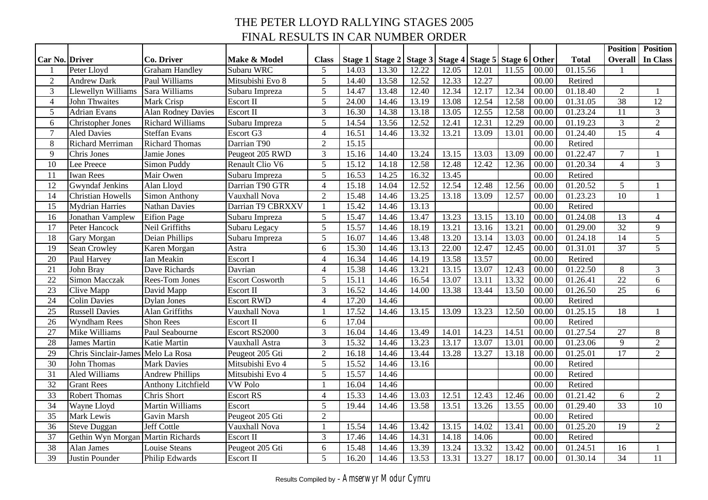# THE PETER LLOYD RALLYING STAGES 2005 FINAL RESULTS IN CAR NUMBER ORDER

|                       |                                   |                           |                        |                |       |       |                         |       |       |                               |       |              | <b>Position</b> | <b>Position</b> |
|-----------------------|-----------------------------------|---------------------------|------------------------|----------------|-------|-------|-------------------------|-------|-------|-------------------------------|-------|--------------|-----------------|-----------------|
| <b>Car No. Driver</b> |                                   | <b>Co. Driver</b>         | Make & Model           | <b>Class</b>   |       |       | Stage 1 Stage 2 Stage 3 |       |       | Stage 4 Stage 5 Stage 6 Other |       | <b>Total</b> | Overall         | In Class        |
|                       | Peter Lloyd                       | <b>Graham Handley</b>     | Subaru WRC             | 5              | 14.03 | 13.30 | 12.22                   | 12.05 | 12.01 | 11.55                         | 00.00 | 01.15.56     |                 |                 |
| $\sqrt{2}$            | <b>Andrew Dark</b>                | Paul Williams             | Mitsubishi Evo 8       | 5              | 14.40 | 13.58 | 12.52                   | 12.33 | 12.27 |                               | 00.00 | Retired      |                 |                 |
| $\mathfrak{Z}$        | Llewellyn Williams                | Sara Williams             | Subaru Impreza         | 5              | 14.47 | 13.48 | 12.40                   | 12.34 | 12.17 | 12.34                         | 00.00 | 01.18.40     | $\overline{2}$  | 1               |
| $\overline{4}$        | <b>John Thwaites</b>              | Mark Crisp                | Escort II              | 5              | 24.00 | 14.46 | 13.19                   | 13.08 | 12.54 | 12.58                         | 00.00 | 01.31.05     | $\overline{38}$ | $\overline{12}$ |
| 5                     | <b>Adrian Evans</b>               | <b>Alan Rodney Davies</b> | Escort II              | 3              | 16.30 | 14.38 | 13.18                   | 13.05 | 12.55 | 12.58                         | 00.00 | 01.23.24     | 11              | 3               |
| 6                     | <b>Christopher Jones</b>          | <b>Richard Williams</b>   | Subaru Impreza         | $\overline{5}$ | 14.54 | 13.56 | 12.52                   | 12.41 | 12.31 | 12.29                         | 00.00 | 01.19.23     | 3               | $\overline{2}$  |
| $\overline{7}$        | <b>Aled Davies</b>                | <b>Steffan Evans</b>      | Escort G3              | $\overline{4}$ | 16.51 | 14.46 | 13.32                   | 13.21 | 13.09 | 13.01                         | 00.00 | 01.24.40     | 15              | $\overline{4}$  |
| $\,8\,$               | Richard Merriman                  | <b>Richard Thomas</b>     | Darrian T90            | $\overline{2}$ | 15.15 |       |                         |       |       |                               | 00.00 | Retired      |                 |                 |
| 9                     | Chris Jones                       | Jamie Jones               | Peugeot 205 RWD        | 3              | 15.16 | 14.40 | 13.24                   | 13.15 | 13.03 | $13.\overline{09}$            | 00.00 | 01.22.47     | $\overline{7}$  |                 |
| 10                    | Lee Preece                        | Simon Puddy               | Renault Clio V6        | 5              | 15.12 | 14.18 | 12.58                   | 12.48 | 12.42 | 12.36                         | 00.00 | 01.20.34     | $\overline{4}$  | $\mathfrak{Z}$  |
| 11                    | Iwan Rees                         | Mair Owen                 | Subaru Impreza         | 5              | 16.53 | 14.25 | 16.32                   | 13.45 |       |                               | 00.00 | Retired      |                 |                 |
| 12                    | <b>Gwyndaf Jenkins</b>            | Alan Lloyd                | Darrian T90 GTR        | $\overline{4}$ | 15.18 | 14.04 | 12.52                   | 12.54 | 12.48 | 12.56                         | 00.00 | 01.20.52     | 5               |                 |
| 14                    | <b>Christian Howells</b>          | Simon Anthony             | Vauxhall Nova          | $\overline{2}$ | 15.48 | 14.46 | 13.25                   | 13.18 | 13.09 | 12.57                         | 00.00 | 01.23.23     | 10              | $\mathbf{1}$    |
| 15                    | <b>Mydrian Harries</b>            | Nathan Davies             | Darrian T9 CBRXXV      | $\mathbf{1}$   | 15.42 | 14.46 | 13.13                   |       |       |                               | 00.00 | Retired      |                 |                 |
| 16                    | Jonathan Vamplew                  | <b>Eifion Page</b>        | Subaru Impreza         | 5              | 15.47 | 14.46 | 13.47                   | 13.23 | 13.15 | 13.10                         | 00.00 | 01.24.08     | 13              | $\overline{4}$  |
| 17                    | Peter Hancock                     | Neil Griffiths            | Subaru Legacy          | $\overline{5}$ | 15.57 | 14.46 | 18.19                   | 13.21 | 13.16 | 13.21                         | 00.00 | 01.29.00     | $\overline{32}$ | 9               |
| 18                    | Gary Morgan                       | Deian Phillips            | Subaru Impreza         | 5              | 16.07 | 14.46 | 13.48                   | 13.20 | 13.14 | 13.03                         | 00.00 | 01.24.18     | 14              | 5               |
| 19                    | Sean Crowley                      | Karen Morgan              | Astra                  | 6              | 15.30 | 14.46 | 13.13                   | 22.00 | 12.47 | 12.45                         | 00.00 | 01.31.01     | 37              | 5               |
| 20                    | Paul Harvey                       | Ian Meakin                | Escort I               | $\overline{4}$ | 16.34 | 14.46 | 14.19                   | 13.58 | 13.57 |                               | 00.00 | Retired      |                 |                 |
| 21                    | John Bray                         | Dave Richards             | Davrian                | $\overline{4}$ | 15.38 | 14.46 | 13.21                   | 13.15 | 13.07 | 12.43                         | 00.00 | 01.22.50     | $8\,$           | $\mathfrak{Z}$  |
| 22                    | <b>Simon Macczak</b>              | Rees-Tom Jones            | <b>Escort Cosworth</b> | 5              | 15.11 | 14.46 | 16.54                   | 13.07 | 13.11 | 13.32                         | 00.00 | 01.26.41     | $\overline{22}$ | 6               |
| 23                    | Clive Mapp                        | David Mapp                | Escort II              | 3              | 16.52 | 14.46 | 14.00                   | 13.38 | 13.44 | 13.50                         | 00.00 | 01.26.50     | 25              | 6               |
| 24                    | <b>Colin Davies</b>               | <b>Dylan Jones</b>        | <b>Escort RWD</b>      | $\overline{4}$ | 17.20 | 14.46 |                         |       |       |                               | 00.00 | Retired      |                 |                 |
| 25                    | <b>Russell Davies</b>             | Alan Griffiths            | Vauxhall Nova          | $\mathbf{1}$   | 17.52 | 14.46 | 13.15                   | 13.09 | 13.23 | 12.50                         | 00.00 | 01.25.15     | 18              |                 |
| 26                    | <b>Wyndham Rees</b>               | <b>Shon Rees</b>          | Escort II              | 6              | 17.04 |       |                         |       |       |                               | 00.00 | Retired      |                 |                 |
| 27                    | Mike Williams                     | Paul Seabourne            | Escort RS2000          | 3              | 16.04 | 14.46 | 13.49                   | 14.01 | 14.23 | 14.51                         | 00.00 | 01.27.54     | 27              | 8               |
| 28                    | <b>James Martin</b>               | Katie Martin              | Vauxhall Astra         | 3              | 15.32 | 14.46 | 13.23                   | 13.17 | 13.07 | 13.01                         | 00.00 | 01.23.06     | 9               | $\sqrt{2}$      |
| 29                    | <b>Chris Sinclair-James</b>       | Melo La Rosa              | Peugeot 205 Gti        | $\overline{2}$ | 16.18 | 14.46 | 13.44                   | 13.28 | 13.27 | 13.18                         | 00.00 | 01.25.01     | 17              | $\overline{2}$  |
| 30                    | John Thomas                       | <b>Mark Davies</b>        | Mitsubishi Evo 4       | 5              | 15.52 | 14.46 | 13.16                   |       |       |                               | 00.00 | Retired      |                 |                 |
| $\overline{31}$       | <b>Aled Williams</b>              | <b>Andrew Phillips</b>    | Mitsubishi Evo 4       | $\overline{5}$ | 15.57 | 14.46 |                         |       |       |                               | 00.00 | Retired      |                 |                 |
| 32                    | <b>Grant Rees</b>                 | Anthony Litchfield        | <b>VW</b> Polo         |                | 16.04 | 14.46 |                         |       |       |                               | 00.00 | Retired      |                 |                 |
| $\overline{33}$       | <b>Robert Thomas</b>              | <b>Chris</b> Short        | <b>Escort RS</b>       | $\overline{4}$ | 15.33 | 14.46 | 13.03                   | 12.51 | 12.43 | 12.46                         | 00.00 | 01.21.42     | 6               | $\sqrt{2}$      |
| 34                    | Wayne Lloyd                       | Martin Williams           | Escort                 | 5              | 19.44 | 14.46 | 13.58                   | 13.51 | 13.26 | 13.55                         | 00.00 | 01.29.40     | 33              | 10              |
| $\overline{35}$       | Mark Lewis                        | Gavin Marsh               | Peugeot 205 Gti        | $\overline{2}$ |       |       |                         |       |       |                               | 00.00 | Retired      |                 |                 |
| 36                    | <b>Steve Duggan</b>               | Jeff Cottle               | Vauxhall Nova          |                | 15.54 | 14.46 | 13.42                   | 13.15 | 14.02 | 13.41                         | 00.00 | 01.25.20     | 19              | $\overline{2}$  |
| 37                    | Gethin Wyn Morgan Martin Richards |                           | Escort II              | 3              | 17.46 | 14.46 | 14.31                   | 14.18 | 14.06 |                               | 00.00 | Retired      |                 |                 |
| 38                    | Alan James                        | Louise Steans             | Peugeot 205 Gti        | 6              | 15.48 | 14.46 | 13.39                   | 13.24 | 13.32 | $13.\overline{42}$            | 00.00 | 01.24.51     | 16              | $\mathbf{1}$    |
| 39                    | Justin Pounder                    | Philip Edwards            | Escort II              | 5              | 16.20 | 14.46 | 13.53                   | 13.31 | 13.27 | 18.17                         | 00.00 | 01.30.14     | 34              | $\overline{11}$ |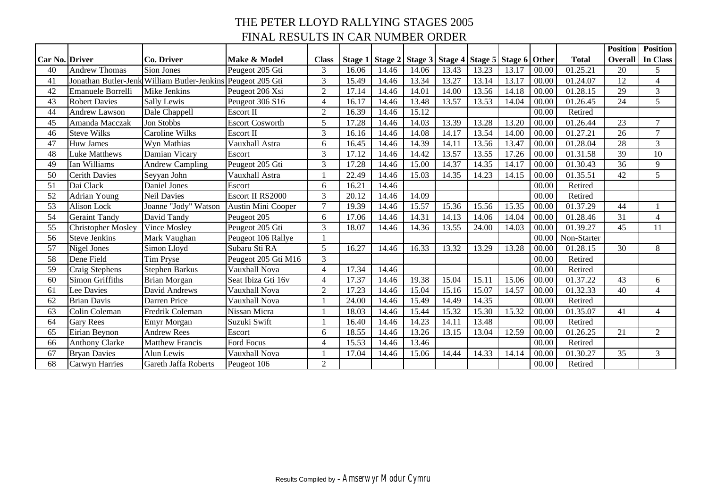# THE PETER LLOYD RALLYING STAGES 2005 FINAL RESULTS IN CAR NUMBER ORDER

|                       |                           |                               |                        |                |       |       |       |       |       |                                                                   |       |              | <b>Position</b> | <b>Position</b> |
|-----------------------|---------------------------|-------------------------------|------------------------|----------------|-------|-------|-------|-------|-------|-------------------------------------------------------------------|-------|--------------|-----------------|-----------------|
| <b>Car No. Driver</b> |                           | Co. Driver                    | Make & Model           | <b>Class</b>   |       |       |       |       |       | Stage 1   Stage 2   Stage 3   Stage 4   Stage 5   Stage 6   Other |       | <b>Total</b> | Overall         | In Class        |
| 40                    | <b>Andrew Thomas</b>      | Sion Jones                    | Peugeot 205 Gti        | 3              | 16.06 | 14.46 | 14.06 | 13.43 | 13.23 | 13.17                                                             | 00.00 | 01.25.21     | 20              | 5               |
| 41                    | Jonathan Butler-Jenl      | <b>William Butler-Jenkins</b> | Peugeot 205 Gti        | 3              | 15.49 | 14.46 | 13.34 | 13.27 | 13.14 | 13.17                                                             | 00.00 | 01.24.07     | 12              | $\overline{4}$  |
| 42                    | Emanuele Borrelli         | Mike Jenkins                  | Peugeot 206 Xsi        | $\overline{2}$ | 17.14 | 14.46 | 14.01 | 14.00 | 13.56 | 14.18                                                             | 00.00 | 01.28.15     | 29              | 3               |
| 43                    | <b>Robert Davies</b>      | Sally Lewis                   | Peugeot 306 S16        | $\overline{4}$ | 16.17 | 14.46 | 13.48 | 13.57 | 13.53 | 14.04                                                             | 00.00 | 01.26.45     | 24              | 5               |
| 44                    | <b>Andrew Lawson</b>      | Dale Chappell                 | Escort II              | $\overline{2}$ | 16.39 | 14.46 | 15.12 |       |       |                                                                   | 00.00 | Retired      |                 |                 |
| 45                    | Amanda Macczak            | <b>Jon Stobbs</b>             | <b>Escort Cosworth</b> | 5              | 17.28 | 14.46 | 14.03 | 13.39 | 13.28 | 13.20                                                             | 00.00 | 01.26.44     | 23              | $\overline{7}$  |
| 46                    | <b>Steve Wilks</b>        | <b>Caroline Wilks</b>         | Escort II              | 3              | 16.16 | 14.46 | 14.08 | 14.17 | 13.54 | 14.00                                                             | 00.00 | 01.27.21     | 26              | $\overline{7}$  |
| 47                    | <b>Huw James</b>          | Wyn Mathias                   | Vauxhall Astra         | 6              | 16.45 | 14.46 | 14.39 | 14.11 | 13.56 | 13.47                                                             | 00.00 | 01.28.04     | 28              | $\overline{3}$  |
| 48                    | Luke Matthews             | Damian Vicary                 | Escort                 | 3              | 17.12 | 14.46 | 14.42 | 13.57 | 13.55 | 17.26                                                             | 00.00 | 01.31.58     | 39              | 10              |
| 49                    | Ian Williams              | <b>Andrew Campling</b>        | Peugeot 205 Gti        | 3              | 17.28 | 14.46 | 15.00 | 14.37 | 14.35 | 14.17                                                             | 00.00 | 01.30.43     | 36              | 9               |
| 50                    | <b>Cerith Davies</b>      | Seyyan John                   | Vauxhall Astra         |                | 22.49 | 14.46 | 15.03 | 14.35 | 14.23 | 14.15                                                             | 00.00 | 01.35.51     | 42              | 5               |
| 51                    | Dai Clack                 | Daniel Jones                  | Escort                 | 6              | 16.21 | 14.46 |       |       |       |                                                                   | 00.00 | Retired      |                 |                 |
| 52                    | <b>Adrian Young</b>       | <b>Neil Davies</b>            | Escort II RS2000       | 3              | 20.12 | 14.46 | 14.09 |       |       |                                                                   | 00.00 | Retired      |                 |                 |
| 53                    | Alison Lock               | Joanne "Jody" Watson          | Austin Mini Cooper     | $\mathcal{L}$  | 19.39 | 14.46 | 15.57 | 15.36 | 15.56 | 15.35                                                             | 00.00 | 01.37.29     | 44              |                 |
| 54                    | <b>Geraint Tandy</b>      | David Tandy                   | Peugeot 205            | 6              | 17.06 | 14.46 | 14.31 | 14.13 | 14.06 | 14.04                                                             | 00.00 | 01.28.46     | 31              | $\overline{4}$  |
| 55                    | <b>Christopher Mosley</b> | Vince Mosley                  | Peugeot 205 Gti        | 3              | 18.07 | 14.46 | 14.36 | 13.55 | 24.00 | 14.03                                                             | 00.00 | 01.39.27     | 45              | 11              |
| 56                    | <b>Steve Jenkins</b>      | Mark Vaughan                  | Peugeot 106 Rallye     |                |       |       |       |       |       |                                                                   | 00.00 | Non-Starter  |                 |                 |
| 57                    | Nigel Jones               | Simon Lloyd                   | Subaru Sti RA          | 5              | 16.27 | 14.46 | 16.33 | 13.32 | 13.29 | 13.28                                                             | 00.00 | 01.28.15     | 30              | 8               |
| 58                    | Dene Field                | <b>Tim Pryse</b>              | Peugeot 205 Gti M16    | 3              |       |       |       |       |       |                                                                   | 00.00 | Retired      |                 |                 |
| 59                    | Craig Stephens            | <b>Stephen Barkus</b>         | Vauxhall Nova          | $\Delta$       | 17.34 | 14.46 |       |       |       |                                                                   | 00.00 | Retired      |                 |                 |
| 60                    | <b>Simon Griffiths</b>    | <b>Brian Morgan</b>           | Seat Ibiza Gti 16v     | $\overline{4}$ | 17.37 | 14.46 | 19.38 | 15.04 | 15.11 | 15.06                                                             | 00.00 | 01.37.22     | 43              | 6               |
| 61                    | Lee Davies                | David Andrews                 | Vauxhall Nova          | $\overline{2}$ | 17.23 | 14.46 | 15.04 | 15.16 | 15.07 | 14.57                                                             | 00.00 | 01.32.33     | 40              | $\overline{4}$  |
| 62                    | <b>Brian Davis</b>        | Darren Price                  | Vauxhall Nova          |                | 24.00 | 14.46 | 15.49 | 14.49 | 14.35 |                                                                   | 00.00 | Retired      |                 |                 |
| 63                    | Colin Coleman             | Fredrik Coleman               | Nissan Micra           |                | 18.03 | 14.46 | 15.44 | 15.32 | 15.30 | 15.32                                                             | 00.00 | 01.35.07     | 41              | $\overline{4}$  |
| 64                    | <b>Gary Rees</b>          | <b>Emyr Morgan</b>            | Suzuki Swift           |                | 16.40 | 14.46 | 14.23 | 14.11 | 13.48 |                                                                   | 00.00 | Retired      |                 |                 |
| 65                    | Eirian Beynon             | <b>Andrew Rees</b>            | Escort                 | 6              | 18.55 | 14.46 | 13.26 | 13.15 | 13.04 | 12.59                                                             | 00.00 | 01.26.25     | 21              | $\overline{2}$  |
| 66                    | <b>Anthony Clarke</b>     | <b>Matthew Francis</b>        | Ford Focus             | $\overline{4}$ | 15.53 | 14.46 | 13.46 |       |       |                                                                   | 00.00 | Retired      |                 |                 |
| 67                    | <b>Bryan Davies</b>       | Alun Lewis                    | Vauxhall Nova          |                | 17.04 | 14.46 | 15.06 | 14.44 | 14.33 | 14.14                                                             | 00.00 | 01.30.27     | 35              | $\overline{3}$  |
| 68                    | <b>Carwyn Harries</b>     | Gareth Jaffa Roberts          | Peugeot 106            | $\overline{2}$ |       |       |       |       |       |                                                                   | 00.00 | Retired      |                 |                 |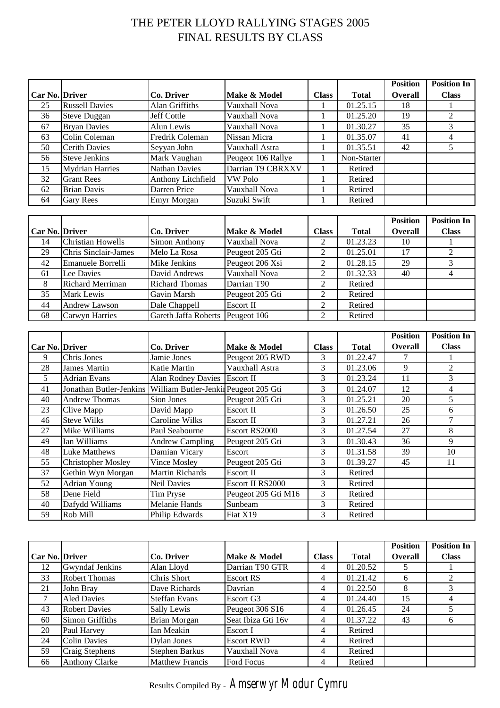# THE PETER LLOYD RALLYING STAGES 2005 FINAL RESULTS BY CLASS

|                |                             |                       |                    |                |              | <b>Position</b> | <b>Position In</b> |
|----------------|-----------------------------|-----------------------|--------------------|----------------|--------------|-----------------|--------------------|
| Car No. Driver |                             | <b>Co. Driver</b>     | Make & Model       | <b>Class</b>   | <b>Total</b> | Overall         | <b>Class</b>       |
| 25             | <b>Russell Davies</b>       | Alan Griffiths        | Vauxhall Nova      |                | 01.25.15     | 18              |                    |
| 36             | <b>Steve Duggan</b>         | Jeff Cottle           | Vauxhall Nova      |                | 01.25.20     | 19              | $\overline{2}$     |
| 67             | <b>Bryan Davies</b>         | Alun Lewis            | Vauxhall Nova      |                | 01.30.27     | 35              | 3                  |
| 63             | Colin Coleman               | Fredrik Coleman       | Nissan Micra       | 1              | 01.35.07     | 41              | 4                  |
| 50             | <b>Cerith Davies</b>        | Seyyan John           | Vauxhall Astra     | 1              | 01.35.51     | 42              | 5                  |
| 56             | <b>Steve Jenkins</b>        | Mark Vaughan          | Peugeot 106 Rallye |                | Non-Starter  |                 |                    |
| 15             | <b>Mydrian Harries</b>      | <b>Nathan Davies</b>  | Darrian T9 CBRXXV  |                | Retired      |                 |                    |
| 32             | <b>Grant Rees</b>           | Anthony Litchfield    | <b>VW Polo</b>     |                | Retired      |                 |                    |
| 62             | <b>Brian Davis</b>          | Darren Price          | Vauxhall Nova      | 1              | Retired      |                 |                    |
| 64             | Gary Rees                   | Emyr Morgan           | Suzuki Swift       |                | Retired      |                 |                    |
|                |                             |                       |                    |                |              |                 |                    |
|                |                             |                       |                    |                |              | <b>Position</b> | <b>Position In</b> |
|                |                             |                       |                    |                |              |                 |                    |
| Car No. Driver |                             | Co. Driver            | Make & Model       | <b>Class</b>   | <b>Total</b> | <b>Overall</b>  | <b>Class</b>       |
| 14             | <b>Christian Howells</b>    | Simon Anthony         | Vauxhall Nova      | 2              | 01.23.23     | 10              |                    |
| 29             | <b>Chris Sinclair-James</b> | Melo La Rosa          | Peugeot 205 Gti    | 2              | 01.25.01     | 17              | $\overline{2}$     |
| 42             | Emanuele Borrelli           | Mike Jenkins          | Peugeot 206 Xsi    | 2              | 01.28.15     | 29              | 3                  |
| 61             | Lee Davies                  | David Andrews         | Vauxhall Nova      | $\overline{2}$ | 01.32.33     | 40              | $\overline{4}$     |
| 8              | Richard Merriman            | <b>Richard Thomas</b> | Darrian T90        | $\overline{2}$ | Retired      |                 |                    |
| 35             | Mark Lewis                  | Gavin Marsh           | Peugeot 205 Gti    | $\overline{2}$ | Retired      |                 |                    |
| 44             | <b>Andrew Lawson</b>        | Dale Chappell         | Escort II          | $\overline{2}$ | Retired      |                 |                    |
| 68             | Carwyn Harries              | Gareth Jaffa Roberts  | Peugeot 106        | $\overline{c}$ | Retired      |                 |                    |
|                |                             |                       |                    |                |              |                 |                    |
|                |                             |                       |                    |                |              | <b>Position</b> | <b>Position In</b> |

|                       |                                                                 |                           |                     |              |              | .              | .            |
|-----------------------|-----------------------------------------------------------------|---------------------------|---------------------|--------------|--------------|----------------|--------------|
| <b>Car No. Driver</b> |                                                                 | Co. Driver                | Make & Model        | <b>Class</b> | <b>Total</b> | <b>Overall</b> | <b>Class</b> |
| 9                     | Chris Jones                                                     | Jamie Jones               | Peugeot 205 RWD     | 3            | 01.22.47     |                |              |
| 28                    | <b>James Martin</b>                                             | Katie Martin              | Vauxhall Astra      | 3            | 01.23.06     | 9              | 2            |
| 5                     | <b>Adrian Evans</b>                                             | <b>Alan Rodney Davies</b> | <b>Escort II</b>    | 3            | 01.23.24     | 11             | 3            |
| 41                    | Jonathan Butler-Jenkins   William Butler-Jenkin Peugeot 205 Gti |                           |                     | 3            | 01.24.07     | 12             | 4            |
| 40                    | <b>Andrew Thomas</b>                                            | Sion Jones                | Peugeot 205 Gti     | 3            | 01.25.21     | 20             | 5            |
| 23                    | Clive Mapp                                                      | David Mapp                | Escort II           | 3            | 01.26.50     | 25             | 6            |
| 46                    | <b>Steve Wilks</b>                                              | Caroline Wilks            | Escort II           | 3            | 01.27.21     | 26             |              |
| 27                    | Mike Williams                                                   | Paul Seabourne            | Escort RS2000       | 3            | 01.27.54     | 27             | 8            |
| 49                    | Ian Williams                                                    | <b>Andrew Campling</b>    | Peugeot 205 Gti     | 3            | 01.30.43     | 36             | 9            |
| 48                    | <b>Luke Matthews</b>                                            | Damian Vicary             | Escort              | 3            | 01.31.58     | 39             | 10           |
| 55                    | <b>Christopher Mosley</b>                                       | Vince Mosley              | Peugeot 205 Gti     | 3            | 01.39.27     | 45             | 11           |
| 37                    | Gethin Wyn Morgan                                               | <b>Martin Richards</b>    | Escort II           | 3            | Retired      |                |              |
| 52                    | <b>Adrian Young</b>                                             | <b>Neil Davies</b>        | Escort II RS2000    | 3            | Retired      |                |              |
| 58                    | Dene Field                                                      | Tim Pryse                 | Peugeot 205 Gti M16 | 3            | Retired      |                |              |
| 40                    | Dafydd Williams                                                 | <b>Melanie Hands</b>      | Sunbeam             | 3            | Retired      |                |              |
| 59                    | Rob Mill                                                        | Philip Edwards            | Fiat X19            | 3            | Retired      |                |              |

|                       |                        |                        |                    |              |              | <b>Position</b> | <b>Position In</b> |
|-----------------------|------------------------|------------------------|--------------------|--------------|--------------|-----------------|--------------------|
| <b>Car No. Driver</b> |                        | Co. Driver             | Make & Model       | <b>Class</b> | <b>Total</b> | <b>Overall</b>  | <b>Class</b>       |
| 12                    | <b>Gwyndaf Jenkins</b> | Alan Lloyd             | Darrian T90 GTR    | 4            | 01.20.52     | 5               |                    |
| 33                    | <b>Robert Thomas</b>   | Chris Short            | Escort RS          | 4            | 01.21.42     | h               | 2                  |
| 21                    | John Bray              | Dave Richards          | Davrian            | 4            | 01.22.50     | 8               | 3                  |
| 7                     | <b>Aled Davies</b>     | <b>Steffan Evans</b>   | Escort G3          | 4            | 01.24.40     | 15              | 4                  |
| 43                    | <b>Robert Davies</b>   | Sally Lewis            | Peugeot 306 S16    | 4            | 01.26.45     | 24              | 5                  |
| 60                    | <b>Simon Griffiths</b> | Brian Morgan           | Seat Ibiza Gti 16v | 4            | 01.37.22     | 43              | 6                  |
| 20                    | Paul Harvey            | Ian Meakin             | Escort I           | 4            | Retired      |                 |                    |
| 24                    | <b>Colin Davies</b>    | Dylan Jones            | <b>Escort RWD</b>  | 4            | Retired      |                 |                    |
| 59                    | Craig Stephens         | <b>Stephen Barkus</b>  | Vauxhall Nova      | 4            | Retired      |                 |                    |
| 66                    | <b>Anthony Clarke</b>  | <b>Matthew Francis</b> | Ford Focus         |              | Retired      |                 |                    |

Results Compiled By - *Amserwyr Modur Cymru*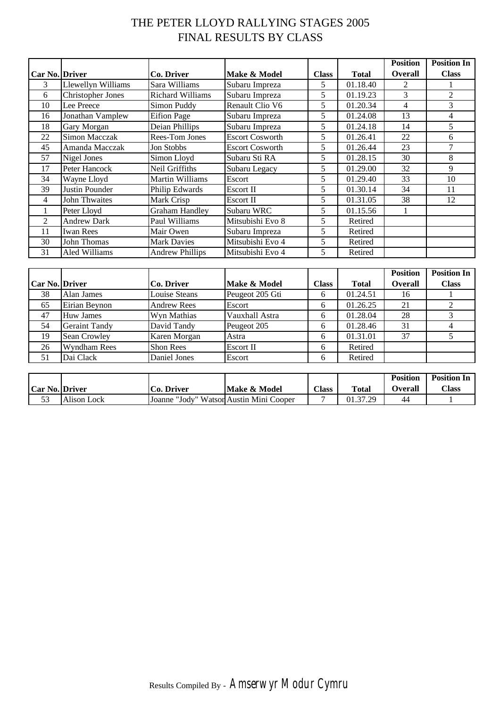# THE PETER LLOYD RALLYING STAGES 2005 FINAL RESULTS BY CLASS

|                |                          |                        |                        |              |              | <b>Position</b> | <b>Position In</b> |
|----------------|--------------------------|------------------------|------------------------|--------------|--------------|-----------------|--------------------|
| Car No. Driver |                          | Co. Driver             | Make & Model           | <b>Class</b> | <b>Total</b> | <b>Overall</b>  | <b>Class</b>       |
| 3              | Llewellyn Williams       | Sara Williams          | Subaru Impreza         | 5            | 01.18.40     | 2               |                    |
| 6              | <b>Christopher Jones</b> | Richard Williams       | Subaru Impreza         | 5            | 01.19.23     | 3               | 2                  |
| 10             | Lee Preece               | Simon Puddy            | Renault Clio V6        | 5            | 01.20.34     | 4               | 3                  |
| 16             | Jonathan Vamplew         | <b>Eifion Page</b>     | Subaru Impreza         | 5            | 01.24.08     | 13              | 4                  |
| 18             | Gary Morgan              | Deian Phillips         | Subaru Impreza         | 5            | 01.24.18     | 14              | 5                  |
| 22             | Simon Macczak            | <b>Rees-Tom Jones</b>  | <b>Escort Cosworth</b> | 5            | 01.26.41     | 22              | 6                  |
| 45             | Amanda Macczak           | Jon Stobbs             | <b>Escort Cosworth</b> | 5            | 01.26.44     | 23              | 7                  |
| 57             | Nigel Jones              | Simon Lloyd            | Subaru Sti RA          | 5            | 01.28.15     | 30              | 8                  |
| 17             | Peter Hancock            | Neil Griffiths         | Subaru Legacy          | 5            | 01.29.00     | 32              | 9                  |
| 34             | Wayne Lloyd              | Martin Williams        | Escort                 | 5            | 01.29.40     | 33              | 10                 |
| 39             | Justin Pounder           | Philip Edwards         | Escort II              | 5            | 01.30.14     | 34              | 11                 |
| 4              | <b>John Thwaites</b>     | Mark Crisp             | Escort II              | 5            | 01.31.05     | 38              | 12                 |
|                | Peter Lloyd              | <b>Graham Handley</b>  | Subaru WRC             | 5            | 01.15.56     |                 |                    |
| 2              | <b>Andrew Dark</b>       | Paul Williams          | Mitsubishi Evo 8       | 5            | Retired      |                 |                    |
| 11             | <b>Iwan Rees</b>         | Mair Owen              | Subaru Impreza         | 5            | Retired      |                 |                    |
| 30             | John Thomas              | <b>Mark Davies</b>     | Mitsubishi Evo 4       | 5            | Retired      |                 |                    |
| 31             | Aled Williams            | <b>Andrew Phillips</b> | Mitsubishi Evo 4       | 5            | Retired      |                 |                    |

|                       |                      |                    |                 |              |              | <b>Position</b> | <b>Position In</b> |
|-----------------------|----------------------|--------------------|-----------------|--------------|--------------|-----------------|--------------------|
| <b>Car No. Driver</b> |                      | Co. Driver         | Make & Model    | <b>Class</b> | <b>Total</b> | <b>Overall</b>  | <b>Class</b>       |
| 38                    | Alan James           | Louise Steans      | Peugeot 205 Gti | 6            | 01.24.51     | 16              |                    |
| 65                    | Eirian Beynon        | <b>Andrew Rees</b> | Escort          | 6            | 01.26.25     | 21              |                    |
| 47                    | <b>Huw James</b>     | Wyn Mathias        | Vauxhall Astra  | h            | 01.28.04     | 28              |                    |
| 54                    | <b>Geraint Tandy</b> | David Tandy        | Peugeot 205     | h            | 01.28.46     | 31              |                    |
| 19                    | Sean Crowley         | Karen Morgan       | Astra           | 6            | 01.31.01     | 37              |                    |
| 26                    | <b>Wyndham Rees</b>  | <b>Shon Rees</b>   | Escort II       | h            | Retired      |                 |                    |
| 51                    | Dai Clack            | Daniel Jones       | Escort          |              | Retired      |                 |                    |

|                       |             |               |                                  |       |              | <b>Position</b> | <b>Position In</b> |
|-----------------------|-------------|---------------|----------------------------------|-------|--------------|-----------------|--------------------|
| <b>Car No. Driver</b> |             | Co. Driver    | Make & Model                     | Class | <b>Total</b> | Overall         | <b>Class</b>       |
| $\sim$ $\sim$         | Alison Lock | <b>Joanne</b> | "Jody" Watson Austin Mini Cooper |       | 01.37.29     | 44              |                    |